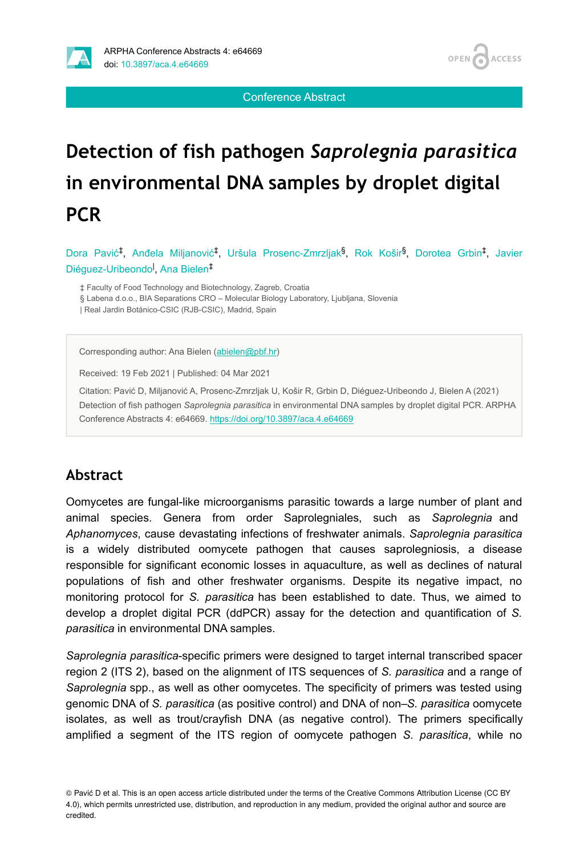

Conference Abstract

# **Detection of fish pathogen** *Saprolegnia parasitica* **in environmental DNA samples by droplet digital PCR**

Dora Pavić<sup>‡</sup>, Anđela Miljanović<sup>‡</sup>, Uršula Prosenc-Zmrzljak<sup>§</sup>, Rok Košir<sup>§</sup>, Dorotea Grbin<sup>‡</sup>, Javier Diéguez-Uribeondo<sup>l</sup>, Ana Bielen<sup>‡</sup>

‡ Faculty of Food Technology and Biotechnology, Zagreb, Croatia

§ Labena d.o.o., BIA Separations CRO – Molecular Biology Laboratory, Ljubljana, Slovenia

| Real Jardin Botánico-CSIC (RJB-CSIC), Madrid, Spain

Corresponding author: Ana Bielen [\(abielen@pbf.hr\)](mailto:abielen@pbf.hr)

Received: 19 Feb 2021 | Published: 04 Mar 2021

Citation: Pavić D, Miljanović A, Prosenc-Zmrzljak U, Košir R, Grbin D, Diéguez-Uribeondo J, Bielen A (2021) Detection of fish pathogen *Saprolegnia parasitica* in environmental DNA samples by droplet digital PCR. ARPHA Conference Abstracts 4: e64669. <https://doi.org/10.3897/aca.4.e64669>

### **Abstract**

Oomycetes are fungal-like microorganisms parasitic towards a large number of plant and animal species. Genera from order Saprolegniales, such as *Saprolegnia* and *Aphanomyces*, cause devastating infections of freshwater animals. *Saprolegnia parasitica* is a widely distributed oomycete pathogen that causes saprolegniosis, a disease responsible for significant economic losses in aquaculture, as well as declines of natural populations of fish and other freshwater organisms. Despite its negative impact, no monitoring protocol for *S. parasitica* has been established to date. Thus, we aimed to develop a droplet digital PCR (ddPCR) assay for the detection and quantification of *S. parasitica* in environmental DNA samples.

*Saprolegnia parasitica*-specific primers were designed to target internal transcribed spacer region 2 (ITS 2), based on the alignment of ITS sequences of *S. parasitica* and a range of *Saprolegnia* spp., as well as other oomycetes. The specificity of primers was tested using genomic DNA of *S. parasitica* (as positive control) and DNA of non–*S. parasitica* oomycete isolates, as well as trout/crayfish DNA (as negative control). The primers specifically amplified a segment of the ITS region of oomycete pathogen *S. parasitica*, while no

© Pavić D et al. This is an open access article distributed under the terms of the Creative Commons Attribution License (CC BY 4.0), which permits unrestricted use, distribution, and reproduction in any medium, provided the original author and source are credited.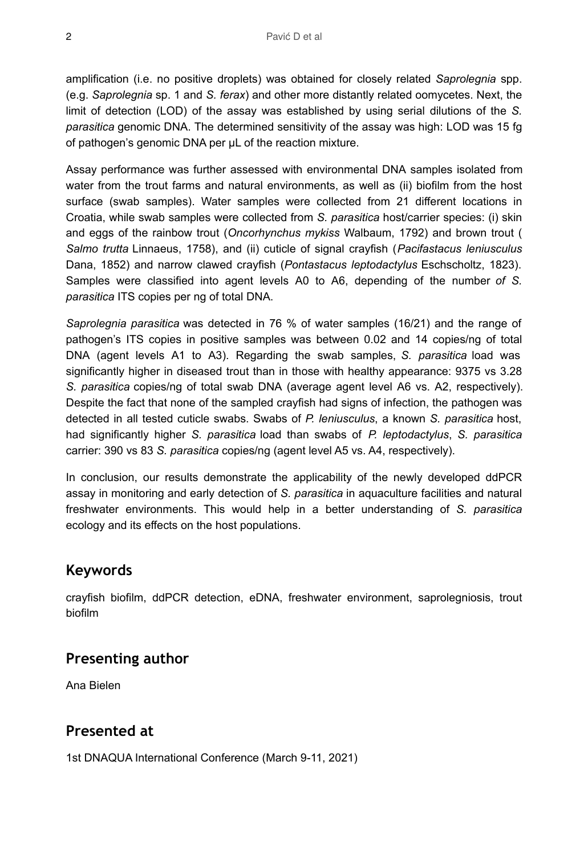amplification (i.e. no positive droplets) was obtained for closely related *Saprolegnia* spp. (e.g. *Saprolegnia* sp. 1 and *S. ferax*) and other more distantly related oomycetes. Next, the limit of detection (LOD) of the assay was established by using serial dilutions of the *S. parasitica* genomic DNA. The determined sensitivity of the assay was high: LOD was 15 fg of pathogen's genomic DNA per µL of the reaction mixture.

Assay performance was further assessed with environmental DNA samples isolated from water from the trout farms and natural environments, as well as (ii) biofilm from the host surface (swab samples). Water samples were collected from 21 different locations in Croatia, while swab samples were collected from *S. parasitica* host/carrier species: (i) skin and eggs of the rainbow trout (*Oncorhynchus mykiss* Walbaum, 1792) and brown trout ( *Salmo trutta* Linnaeus, 1758), and (ii) cuticle of signal crayfish (*Pacifastacus leniusculus* Dana, 1852) and narrow clawed crayfish (*Pontastacus leptodactylus* Eschscholtz, 1823). Samples were classified into agent levels A0 to A6, depending of the number *of S. parasitica* ITS copies per ng of total DNA.

*Saprolegnia parasitica* was detected in 76 % of water samples (16/21) and the range of pathogen's ITS copies in positive samples was between 0.02 and 14 copies/ng of total DNA (agent levels A1 to A3). Regarding the swab samples, *S. parasitica* load was significantly higher in diseased trout than in those with healthy appearance: 9375 vs 3.28 *S. parasitica* copies/ng of total swab DNA (average agent level A6 vs. A2, respectively). Despite the fact that none of the sampled crayfish had signs of infection, the pathogen was detected in all tested cuticle swabs. Swabs of *P. leniusculus*, a known *S. parasitica* host, had significantly higher *S. parasitica* load than swabs of *P. leptodactylus*, *S. parasitica* carrier: 390 vs 83 *S. parasitica* copies/ng (agent level A5 vs. A4, respectively).

In conclusion, our results demonstrate the applicability of the newly developed ddPCR assay in monitoring and early detection of *S. parasitica* in aquaculture facilities and natural freshwater environments. This would help in a better understanding of *S. parasitica* ecology and its effects on the host populations.

### **Keywords**

crayfish biofilm, ddPCR detection, eDNA, freshwater environment, saprolegniosis, trout biofilm

### **Presenting author**

Ana Bielen

### **Presented at**

1st DNAQUA International Conference (March 9-11, 2021)